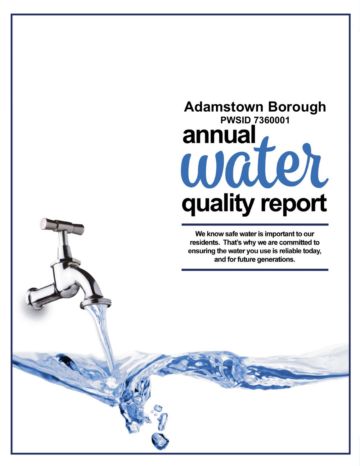## Adamstown Borough PWSID 7360001annual, water quality report

We know safe water is important to our residents. That's why we are committed to ensuring the water you use is reliable today, and for future generations.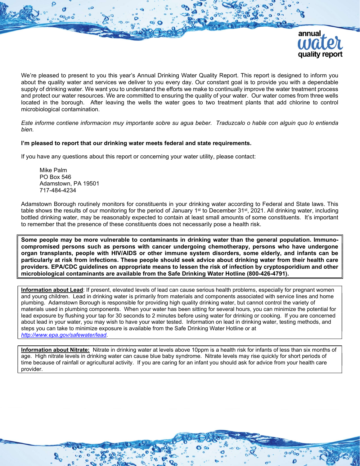

We're pleased to present to you this year's Annual Drinking Water Quality Report. This report is designed to inform you about the quality water and services we deliver to you every day. Our constant goal is to provide you with a dependable supply of drinking water. We want you to understand the efforts we make to continually improve the water treatment process and protect our water resources. We are committed to ensuring the quality of your water. Our water comes from three wells located in the borough. After leaving the wells the water goes to two treatment plants that add chlorine to control microbiological contamination.

Este informe contiene informacion muy importante sobre su agua beber. Traduzcalo o hable con alguin quo lo entienda bien.

## I'm pleased to report that our drinking water meets federal and state requirements.

If you have any questions about this report or concerning your water utility, please contact:

Mike Palm PO Box 546 Adamstown, PA 19501 717-484-4234

Adamstown Borough routinely monitors for constituents in your drinking water according to Federal and State laws. This table shows the results of our monitoring for the period of January 1<sup>st</sup> to December 31<sup>st</sup>, 2021. All drinking water, including bottled drinking water, may be reasonably expected to contain at least small amounts of some constituents. It's important to remember that the presence of these constituents does not necessarily pose a health risk.

Some people may be more vulnerable to contaminants in drinking water than the general population. Immunocompromised persons such as persons with cancer undergoing chemotherapy, persons who have undergone organ transplants, people with HIV/AIDS or other immune system disorders, some elderly, and infants can be particularly at risk from infections. These people should seek advice about drinking water from their health care providers. EPA/CDC guidelines on appropriate means to lessen the risk of infection by cryptosporidium and other microbiological contaminants are available from the Safe Drinking Water Hotline (800-426-4791).

Information about Lead: If present, elevated levels of lead can cause serious health problems, especially for pregnant women and young children. Lead in drinking water is primarily from materials and components associated with service lines and home plumbing. Adamstown Borough is responsible for providing high quality drinking water, but cannot control the variety of materials used in plumbing components. When your water has been sitting for several hours, you can minimize the potential for lead exposure by flushing your tap for 30 seconds to 2 minutes before using water for drinking or cooking. If you are concerned about lead in your water, you may wish to have your water tested. Information on lead in drinking water, testing methods, and steps you can take to minimize exposure is available from the Safe Drinking Water Hotline or at http://www.epa.gov/safewater/lead.

**Information about Nitrate:** Nitrate in drinking water at levels above 10ppm is a health risk for infants of less than six months of age. High nitrate levels in drinking water can cause blue baby syndrome. Nitrate levels may rise quickly for short periods of time because of rainfall or agricultural activity. If you are caring for an infant you should ask for advice from your health care provider.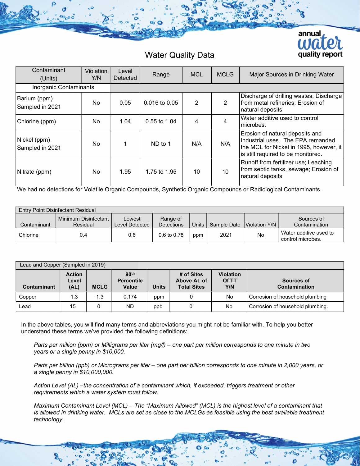

## Water Quality Data

| Contaminant<br>(Units)          | Violation<br>Y/N | Level<br>Detected | Range             | <b>MCL</b> | <b>MCLG</b>     | Major Sources in Drinking Water                                                                                                                         |
|---------------------------------|------------------|-------------------|-------------------|------------|-----------------|---------------------------------------------------------------------------------------------------------------------------------------------------------|
| Inorganic Contaminants          |                  |                   |                   |            |                 |                                                                                                                                                         |
| Barium (ppm)<br>Sampled in 2021 | No.              | 0.05              | $0.016$ to $0.05$ | 2          | $\overline{2}$  | Discharge of drilling wastes; Discharge<br>from metal refineries; Erosion of<br>natural deposits                                                        |
| Chlorine (ppm)                  | No.              | 1.04              | $0.55$ to 1.04    | 4          | 4               | Water additive used to control<br>microbes.                                                                                                             |
| Nickel (ppm)<br>Sampled in 2021 | No.              |                   | ND to 1           | N/A        | N/A             | Erosion of natural deposits and<br>Industrial uses. The EPA remanded<br>the MCL for Nickel in 1995, however, it I<br>is still required to be monitored. |
| Nitrate (ppm)                   | No.              | 1.95              | 1.75 to 1.95      | 10         | 10 <sup>°</sup> | Runoff from fertilizer use; Leaching<br>from septic tanks, sewage; Erosion of<br>natural deposits                                                       |

We had no detections for Volatile Organic Compounds, Synthetic Organic Compounds or Radiological Contaminants.

| <b>Entry Point Disinfectant Residual</b> |                                  |                          |                               |       |             |               |                                             |  |
|------------------------------------------|----------------------------------|--------------------------|-------------------------------|-------|-------------|---------------|---------------------------------------------|--|
| Contaminant                              | Minimum Disinfectant<br>Residual | Lowest<br>Level Detected | Range of<br><b>Detections</b> | Units | Sample Date | Violation Y/N | Sources of<br>Contamination                 |  |
| Chlorine                                 | 0.4                              | 0.6                      | 0.6 to 0.78                   | ppm   | 2021        | No            | Water additive used to<br>control microbes. |  |

| Lead and Copper (Sampled in 2019) |                                |             |                                                       |              |                                                 |                                  |                                    |  |
|-----------------------------------|--------------------------------|-------------|-------------------------------------------------------|--------------|-------------------------------------------------|----------------------------------|------------------------------------|--|
| <b>Contaminant</b>                | <b>Action</b><br>Level<br>(AL) | <b>MCLG</b> | 90 <sup>th</sup><br><b>Percentile</b><br><b>Value</b> | <b>Units</b> | # of Sites<br>Above AL of<br><b>Total Sites</b> | <b>Violation</b><br>Of TT<br>Y/N | Sources of<br><b>Contamination</b> |  |
| Copper                            | 1.3                            | 1.3         | 0.174                                                 | ppm          |                                                 | No                               | Corrosion of household plumbing    |  |
| ∟ead                              | 15                             |             | <b>ND</b>                                             | ppb          |                                                 | No                               | Corrosion of household plumbing.   |  |

In the above tables, you will find many terms and abbreviations you might not be familiar with. To help you better understand these terms we've provided the following definitions:

Parts per million (ppm) or Milligrams per liter (mg/l) – one part per million corresponds to one minute in two years or a single penny in \$10,000.

Parts per billion (ppb) or Micrograms per liter – one part per billion corresponds to one minute in 2,000 years, or a single penny in \$10,000,000.

Action Level (AL) –the concentration of a contaminant which, if exceeded, triggers treatment or other requirements which a water system must follow.

Maximum Contaminant Level (MCL) – The "Maximum Allowed" (MCL) is the highest level of a contaminant that is allowed in drinking water. MCLs are set as close to the MCLGs as feasible using the best available treatment technology.